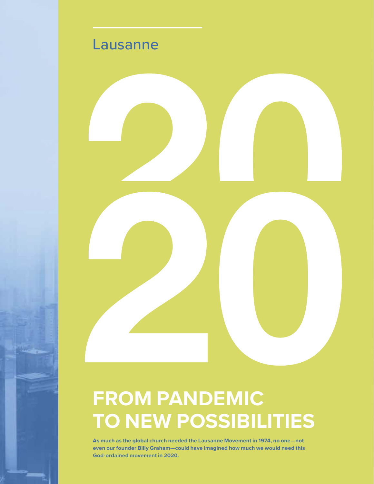

## **FROM PANDEMIC TO NEW POSSIBILITIES**

**As much as the global church needed the Lausanne Movement in 1974, no one—not even our founder Billy Graham—could have imagined how much we would need this God-ordained movement in 2020.**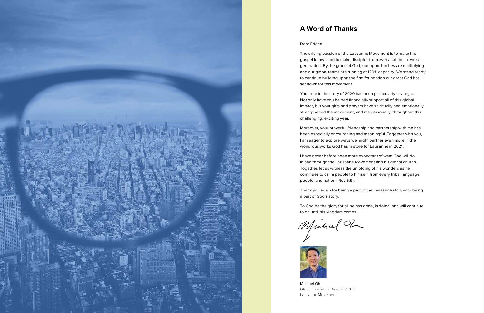

### **A Word of Thanks**

### Dear Friend,

The driving passion of the Lausanne Movement is to make the gospel known and to make disciples from every nation, in every generation. By the grace of God, our opportunities are multiplying and our global teams are running at 120% capacity. We stand ready to continue building upon the firm foundation our great God has set down for this movement.

Your role in the story of 2020 has been particularly strategic. Not only have you helped financially support all of this global impact, but your gifts and prayers have spiritually and emotionally strengthened the movement, and me personally, throughout this challenging, exciting year.

Moreover, your prayerful friendship and partnership with me has been especially encouraging and meaningful. Together with you, I am eager to explore ways we might partner even more in the wondrous works God has in store for Lausanne in 2021.

I have never before been more expectant of what God will do in and through the Lausanne Movement and his global church. Together, let us witness the unfolding of his wonders as he continues to call a people to himself 'from every tribe, language, people, and nation' (Rev 5:9).

Thank you again for being a part of the Lausanne story—for being a part of God's story.

To God be the glory for all he has done, is doing, and will continue to do until his kingdom comes!

Michael T



Michael Oh Global Executive Director / CEO Lausanne Movement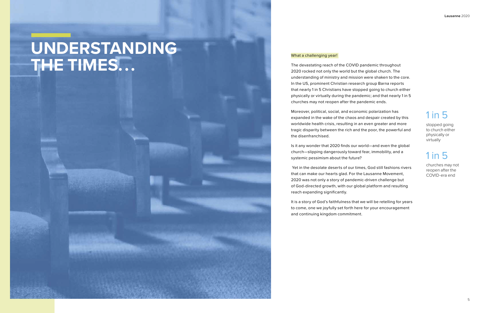### What a challenging year!

The devastating reach of the COVID pandemic throughout 2020 rocked not only the world but the global church. The understanding of ministry and mission were shaken to the core. In the US, prominent Christian research group Barna reports that nearly 1 in 5 Christians have stopped going to church either physically or virtually during the pandemic; and that nearly 1 in 5 churches may not reopen after the pandemic ends.

Moreover, political, social, and economic polarization has expanded in the wake of the chaos and despair created by this worldwide health crisis, resulting in an even greater and more tragic disparity between the rich and the poor, the powerful and the disenfranchised.

Is it any wonder that 2020 finds our world—and even the global church—slipping dangerously toward fear, immobility, and a systemic pessimism about the future?

 Yet in the desolate deserts of our times, God still fashions rivers that can make our hearts glad. For the Lausanne Movement, 2020 was not only a story of pandemic-driven challenge but of God-directed growth, with our global platform and resulting reach expanding significantly.

It is a story of God's faithfulness that we will be retelling for years to come, one we joyfully set forth here for your encouragement and continuing kingdom commitment.

# **UNDERSTANDING THE TIMES. . .**

stopped going to church either physically or virtually

churches may not reopen after the COVID-era end

## 1 in 5

## 1 in 5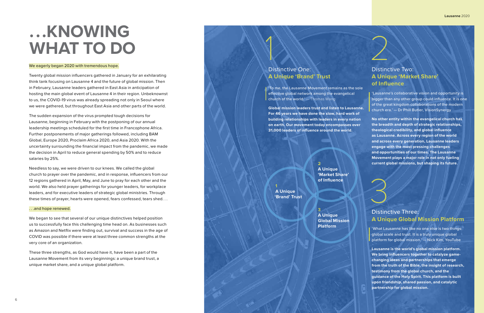Twenty global mission influencers gathered in January for an exhilarating think tank focusing on Lausanne 4 and the future of global mission. Then in February, Lausanne leaders gathered in East Asia in anticipation of hosting the main global event of Lausanne 4 in their region. Unbeknownst to us, the COVID-19 virus was already spreading not only in Seoul where we were gathered, but throughout East Asia and other parts of the world.

The sudden expansion of the virus prompted tough decisions for Lausanne, beginning in February with the postponing of our annual leadership meetings scheduled for the first time in Francophone Africa. Further postponements of major gatherings followed, including BAM Global, Europe 2020, Proclaim Africa 2020, and Asia 2020. With the uncertainty surrounding the financial impact from the pandemic, we made the decision in April to reduce general spending by 50% and to reduce salaries by 25%.

'To me, the Lausanne Movement remains as the sole effective global network among the evangelical church of the world.' $-$  Thomas Wang

Needless to say, we were driven to our knees. We called the global church to prayer over the pandemic, and in response, influencers from our 12 regions gathered in April, May, and June to pray for each other and the world. We also held prayer gatherings for younger leaders, for workplace leaders, and for executive leaders of strategic global ministries. Through these times of prayer, hearts were opened, fears confessed, tears shed. . .

**No other entity within the evangelical church has the breadth and depth of strategic relationships, theological credibility, and global influence as Lausanne. Across every region of the world and across every generation, Lausanne leaders engage with the most pressing challenges and opportunities of our times. The Lausanne Movement plays a major role in not only fueling current global missions, but shaping its future.** Distinc<br>
Distinc<br>
A Uniq<br>
tausanne<br>
bigger tha<br>
of the great<br>
church era<br>
the breadt<br>
as Lausan<br>
and across<br>
and across<br>
and oppor<br>
Movement<br>
current glo<br>
Current glo<br>
Current glo<br>
Current glo<br>
Current glo<br>
Current glo<br>
Cu

### . . .and hope renewed.

We began to see that several of our unique distinctives helped position us to successfully face this challenging time head on. As businesses such as Amazon and Netflix were finding out, survival and success in the age of COVID was possible if there were at least three common strengths at the very core of an organization.

These three strengths, as God would have it, have been a part of the Lausanne Movement from its very beginnings: a unique brand trust, a unique market share, and a unique global platform.

# **. . .KNOWING WHAT TO DO**

### We eagerly began 2020 with tremendous hope.

**Global mission leaders trust and listen to Lausanne. For 46 years we have done the slow, hard work of building relationships with leaders in every nation on earth. Our movement today encompasses over 31,000 leaders of influence around the world.**

### Distinctive Two: **A Unique 'Market Share' of Influence**

# Distinctive One: **A Unique 'Brand' Trust** 1

'Lausanne's collaborative vision and opportunity is bigger than any other group could influence. It is one of the great kingdom collaborations of the modern church era.' — Dr Phill Butler, VisionSynergy

**2 A Unique 'Market Share' of Influence**

**3 A Unique Global Mission** 

**Platform**

**1**

**A Unique 'Brand' Trust**

### Distinctive Three: **A Unique Global Mission Platform**

'What Lausanne has like no one else is two things: global scale and trust. It is a truly unique global platform for global mission.' — Nick Kim, YouTube

**Lausanne is the world's global mission platform. We bring influencers together to catalyze gamechanging ideas and partnerships that emerge from the truth of the Bible, the insight of research, testimony from the global church, and the guidance of the Holy Spirit. This platform is built upon friendship, shared passion, and catalytic partnership for global mission.**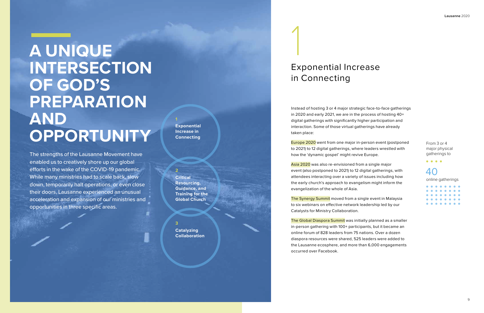The strengths of the Lausanne Movement have enabled us to creatively shore up our global efforts in the wake of the COVID-19 pandemic. While many ministries had to scale back, slow down, temporarily halt operations, or even close their doors, Lausanne experienced an unusual acceleration and expansion of our ministries and opportunities in three specific areas.

Europe 2020 went from one major in-person event (postponed to 2021) to 12 digital gatherings, where leaders wrestled with how the 'dynamic gospel' might revive Europe.

Instead of hosting 3 or 4 major strategic face-to-face gatherings in 2020 and early 2021, we are in the process of hosting 40+ digital gatherings with significantly higher participation and interaction. Some of those virtual gatherings have already taken place:

Asia 2020 was also re-envisioned from a single major event (also postponed to 2021) to 12 digital gatherings, with attendees interacting over a variety of issues including how the early church's approach to evangelism might inform the evangelization of the whole of Asia.

The Synergy Summit moved from a single event in Malaysia to six webinars on effective network leadership led by our Catalysts for Ministry Collaboration.

The Global Diaspora Summit was initially planned as a smaller in-person gathering with 100+ participants, but it became an online forum of 828 leaders from 75 nations. Over a dozen diaspora resources were shared, 525 leaders were added to the Lausanne ecosphere, and more than 6,000 engagements occurred over Facebook.

 $\begin{array}{cccccccccccccc} \bullet & \bullet & \bullet & \bullet & \bullet & \bullet \end{array}$ 40

# Exponential Increase in Connecting 1

# **A UNIQUE INTERSECTION OF GOD'S PREPARATION AND OPPORTUNITY**

**2 Critical Resourcing, Guidance, and Training for the Global Church**

**3 Catalyzing Collaboration**

**1**

**Exponential Increase in Connecting**

> From 3 or 4 major physical gatherings to

online gatherings

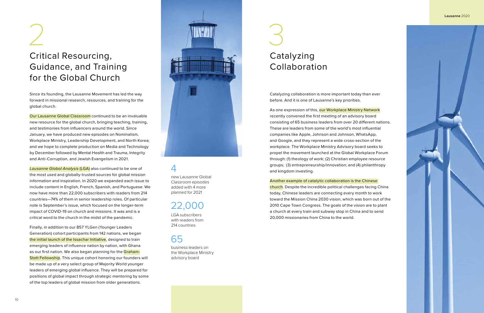# Critical Resourcing, Guidance, and Training for the Global Church

LGA subscribers with readers from 214 countries

business leaders on the Workplace Ministry advisory board

new Lausanne Global Classroom episodes added with 4 more planned for 2021

### 22,000

### 65

### 4

Since its founding, the Lausanne Movement has led the way forward in missional research, resources, and training for the global church.

Our Lausanne Global Classroom continued to be an invaluable new resource for the global church, bringing teaching, training, and testimonies from influencers around the world. Since January, we have produced new episodes on Nominalism, Workplace Ministry, Leadership Development, and North Korea; and we hope to complete production on Media and Technology by December followed by Mental Health and Trauma, Integrity and Anti-Corruption, and Jewish Evangelism in 2021.

*Lausanne Global Analysis* (LGA) also continued to be one of the most used and globally-trusted sources for global mission information and inspiration. In 2020 we expanded each issue to include content in English, French, Spanish, and Portuguese. We now have more than 22,000 subscribers with readers from 214 countries—74% of them in senior leadership roles. Of particular note is September's issue, which focused on the longer-term impact of COVID-19 on church and missions. It was and is a critical word to the church in the midst of the pandemic.

As one expression of this, our Workplace Ministry Network recently convened the first meeting of an advisory board consisting of 65 business leaders from over 20 different nations. These are leaders from some of the world's most influential companies like Apple, Johnson and Johnson, WhatsApp, and Google, and they represent a wide cross-section of the workplace. The Workplace Ministry Advisory board seeks to propel the movement launched at the Global Workplace Forum through: (1) theology of work; (2) Christian employee resource groups; (3) entrepreneurship/innovation; and (4) philanthropy and kingdom investing.

Finally, in addition to our 857 YLGen (Younger Leaders Generation) cohort participants from 142 nations, we began the initial launch of the Issachar Initiative, designed to train emerging leaders of influence nation by nation, with Ghana as our first nation. We also began planning for the Graham-Stott Fellowship. This unique cohort honoring our founders will be made up of a very select group of Majority World younger leaders of emerging global influence. They will be prepared for positions of global impact through strategic mentoring by some of the top leaders of global mission from older generations.

Catalyzing collaboration is more important today than ever before. And it is one of Lausanne's key priorities.

Another example of catalytic collaboration is the Chinese church. Despite the incredible political challenges facing China today, Chinese leaders are connecting every month to work toward the Mission China 2030 vision, which was born out of the 2010 Cape Town Congress. The goals of the vision are to plant a church at every train and subway stop in China and to send 20,000 missionaries from China to the world.

# Catalyzing Collaboration



### **Lausanne** 2020

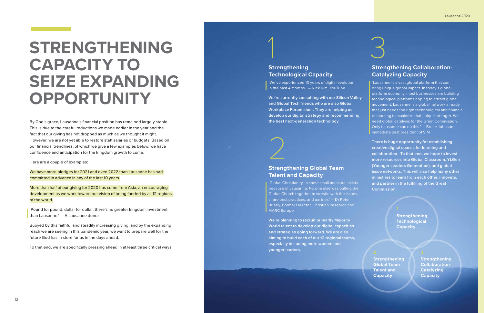By God's grace, Lausanne's financial position has remained largely stable. This is due to the careful reductions we made earlier in the year and the fact that our giving has not dropped as much as we thought it might. However, we are not yet able to restore staff salaries or budgets. Based on our financial trendlines, of which we give a few examples below, we have confidence and anticipation for the kingdom growth to come.

Here are a couple of examples:

We have more pledges for 2021 and even 2022 than Lausanne has had committed in advance in any of the last 10 years.

More than half of our giving for 2020 has come from Asia, an encouraging development as we work toward our vision of being funded by all 12 regions of the world.

'Pound for pound, dollar for dollar, there's no greater kingdom investment than Lausanne.' — A Lausanne donor

Buoyed by this faithful and steadily increasing giving, and by the expanding reach we are seeing in this pandemic year, we want to prepare well for the future God has in store for us in the days ahead.

To that end, we are specifically pressing ahead in at least three critical ways.

# **STRENGTHENING CAPACITY TO SEIZE EXPANDING OPPORTUNITY**



**Strengthening Global Team Talent and Capacity**

**Strengthening Collaboration-Catalyzing Capacity**

## 1 3 **Strengthening Technological Capacity**

**Strengthening Technological Capacity**

'We've experienced 10 years of digital evolution in the past 4 months.' — Nick Kim, YouTube

**We're currently consulting with our Silicon Valley and Global Tech friends who are also Global Workplace Forum alum. They are helping us develop our digital strategy and recommending the best next-generation technology.** 

### **Strengthening Global Team Talent and Capacity**

'Global Christianity, in some small measure, exists because of Lausanne. No one else was pulling the Global Church together to wrestle with the issues, share best practices, and partner.' — Dr Peter Brierly, Former Director, Christian Research and MARC Europe

**We're planning to recruit primarily Majority World talent to develop our digital capacities and strategies going forward. We are also aiming to build each of our 12 regional teams, especially including more women and younger leaders.**

### **Strengthening Collaboration-Catalyzing Capacity**

'Lausanne is a vast global platform that can bring unique global impact. In today's global platform economy, most businesses are building technological platforms hoping to attract global movement. Lausanne is a global network already that just needs the right technological and financial resourcing to maximize that unique strength. We need global catalysis for the Great Commission. Only Lausanne can do this.' — Bruce Johnson, immediate past president of SIM

**There is huge opportunity for establishing creative digital spaces for learning and collaboration. To that end, we hope to invest more resources into Global Classroom, YLGen (Younger Leaders Generation), and global issue networks. This will also help many other ministries to learn from each other, innovate, and partner in the fulfilling of the Great Commission.**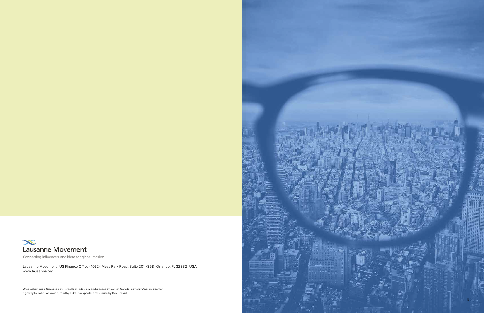

Connecting influencers and ideas for global mission

Unsplash images: Cityscape by Rafael De Nadai. city and glasses by Saketh Garuda, pews by Andrew Seaman, highway by John Lockwood, road by Luke Stackpoole, and sunrise by Dex Ezekiel

Lausanne Movement · US Finance Office · 10524 Moss Park Road, Suite 201 #358 · Orlando, FL 32832 · USA www.lausanne.org